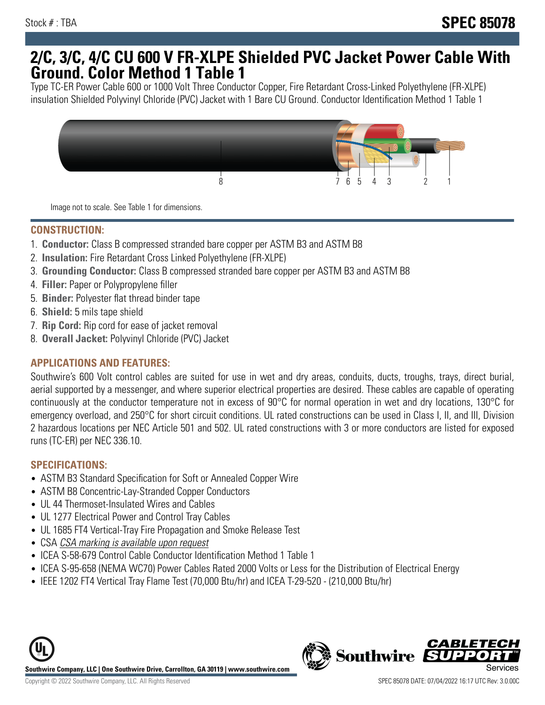## **2/C, 3/C, 4/C CU 600 V FR-XLPE Shielded PVC Jacket Power Cable With Ground. Color Method 1 Table 1**

Type TC-ER Power Cable 600 or 1000 Volt Three Conductor Copper, Fire Retardant Cross-Linked Polyethylene (FR-XLPE) insulation Shielded Polyvinyl Chloride (PVC) Jacket with 1 Bare CU Ground. Conductor Identification Method 1 Table 1



Image not to scale. See Table 1 for dimensions.

#### **CONSTRUCTION:**

- 1. **Conductor:** Class B compressed stranded bare copper per ASTM B3 and ASTM B8
- 2. **Insulation:** Fire Retardant Cross Linked Polyethylene (FR-XLPE)
- 3. **Grounding Conductor:** Class B compressed stranded bare copper per ASTM B3 and ASTM B8
- 4. **Filler:** Paper or Polypropylene filler
- 5. **Binder:** Polyester flat thread binder tape
- 6. **Shield:** 5 mils tape shield
- 7. **Rip Cord:** Rip cord for ease of jacket removal
- 8. **Overall Jacket:** Polyvinyl Chloride (PVC) Jacket

### **APPLICATIONS AND FEATURES:**

Southwire's 600 Volt control cables are suited for use in wet and dry areas, conduits, ducts, troughs, trays, direct burial, aerial supported by a messenger, and where superior electrical properties are desired. These cables are capable of operating continuously at the conductor temperature not in excess of 90°C for normal operation in wet and dry locations, 130°C for emergency overload, and 250°C for short circuit conditions. UL rated constructions can be used in Class I, II, and III, Division 2 hazardous locations per NEC Article 501 and 502. UL rated constructions with 3 or more conductors are listed for exposed runs (TC-ER) per NEC 336.10.

#### **SPECIFICATIONS:**

- ASTM B3 Standard Specification for Soft or Annealed Copper Wire
- ASTM B8 Concentric-Lay-Stranded Copper Conductors
- UL 44 Thermoset-Insulated Wires and Cables
- UL 1277 Electrical Power and Control Tray Cables
- UL 1685 FT4 Vertical-Tray Fire Propagation and Smoke Release Test
- CSA CSA marking is available upon request
- ICEA S-58-679 Control Cable Conductor Identification Method 1 Table 1
- ICEA S-95-658 (NEMA WC70) Power Cables Rated 2000 Volts or Less for the Distribution of Electrical Energy
- IEEE 1202 FT4 Vertical Tray Flame Test (70,000 Btu/hr) and ICEA T-29-520 (210,000 Btu/hr)



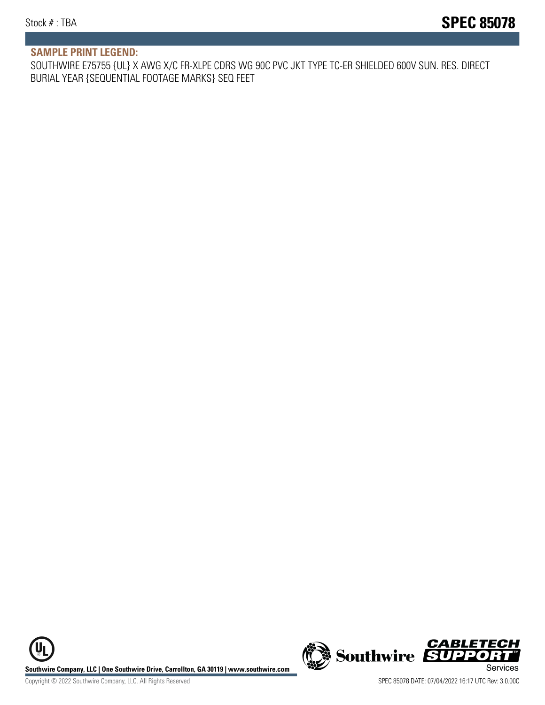#### **SAMPLE PRINT LEGEND:**

SOUTHWIRE E75755 {UL} X AWG X/C FR-XLPE CDRS WG 90C PVC JKT TYPE TC-ER SHIELDED 600V SUN. RES. DIRECT BURIAL YEAR {SEQUENTIAL FOOTAGE MARKS} SEQ FEET

**U Southwire Company, LLC | One Southwire Drive, Carrollton, GA 30119 | www.southwire.com (New Southwire SUPPORTI**